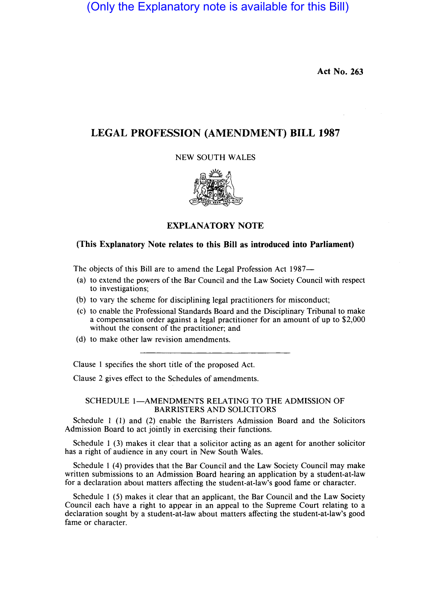(Only the Explanatory note is available for this Bill)

Act No. 263

# LEGAL PROFESSION (AMENDMENT) BILL 1987

NEW SOUTH WALES



EXPLANATORY NOTE

## (This Explanatory Note relates to this Bill as introduced into Parliament)

The objects of this Bill are to amend the Legal Profession Act 1987-

- (a) to extend the powers of the Bar Council and the Law Society Council with respect to investigations;
- (b) to vary the scheme for disciplining legal practitioners for misconduct;
- (c) to enable the Professional Standards Board and the Disciplinary Tribunal to make a compensation order against a legal practitioner for an amount of up to \$2,000 without the consent of the practitioner; and
- (d) to make other law revision amendments.

Clause 1 specifies the short title of the proposed Act.

Clause 2 gives effect to the Schedules of amendments.

# SCHEDULE 1-AMENDMENTS RELATING TO THE ADMISSION OF BARRISTERS AND SOLICITORS

Schedule 1 (1) and (2) enable the Barristers Admission Board and the Solicitors Admission Board to act jointly in exercising their functions.

Schedule 1 (3) makes it clear that a solicitor acting as an agent for another solicitor has a right of audience in any court in New South Wales.

Schedule 1 (4) provides that the Bar Council and the Law Society Council may make written submissions to an Admission Board hearing an application by a student-at-law for a declaration about matters affecting the student-at-law's good fame or character.

Schedule 1 (5) makes it clear that an applicant, the Bar Council and the Law Society Council each have a right to appear in an appeal to the Supreme Court relating to a declaration sought by a student-at-law about matters affecting the student-at-law's good fame or character.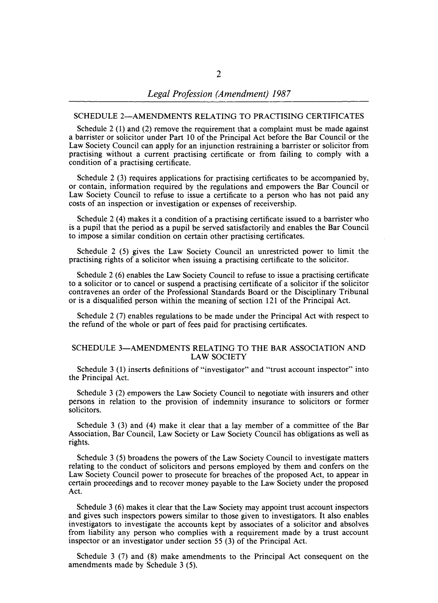## SCHEDULE 2-AMENDMENTS RELATING TO PRACTISING CERTIFICATES

Schedule 2 (1) and (2) remove the requirement that a complaint must be made against a barrister or solicitor under Part 10 of the Principal Act before the Bar Council or the Law Society Council can apply for an injunction restraining a barrister or solicitor from practising without a current practising certificate or from failing to comply with a condition of a practising certificate.

Schedule 2 (3) requires applications for practising certificates to be accompanied by, or contain, information required by the regulations and empowers the Bar Council or Law Society Council to refuse to issue a certificate to a person who has not paid any costs of an inspection or investigation or expenses of receivership.

Schedule 2 (4) makes it a condition of a practising certificate issued to a barrister who is a pupil that the period as a pupil be served satisfactorily and enables the Bar Council to impose a similar condition on certain other practising certificates.

Schedule 2 (5) gives the Law Society Council an unrestricted power to limit the practising rights of a solicitor when issuing a practising certificate to the solicitor.

Schedule 2 (6) enables the Law Society Council to refuse to issue a practising certificate to a solicitor or to cancel or suspend a practising certificate of a solicitor if the solicitor contravenes an order of the Professional Standards Board or the Disciplinary Tribunal or is a disqualified person within the meaning of section 121 of the Principal Act.

Schedule 2 (7) enables regulations to be made under the Principal Act with respect to the refund of the whole or part of fees paid for practising certificates.

#### SCHEDULE 3-AMENDMENTS RELATING TO THE BAR ASSOCIATION AND LAW SOCIETY

Schedule 3 (1) inserts definitions of "investigator" and "trust account inspector" into the Principal Act.

Schedule 3 (2) empowers the Law Society Council to negotiate with insurers and other persons in relation to the provision of indemnity insurance to solicitors or former solicitors.

Schedule 3 (3) and (4) make it clear that a lay member of a committee of the Bar Association, Bar Council, Law Society or Law Society Council has obligations as well as rights.

Schedule 3 (5) broadens the powers of the Law Society Council to investigate matters relating to the conduct of solicitors and persons employed by them and confers on the Law Society Council power to prosecute for breaches of the proposed Act, to appear in certain proceedings and to recover money payable to the Law Society under the proposed Act.

Schedule 3 (6) makes it clear that the Law Society may appoint trust account inspectors and gives such inspectors powers similar to those given to investigators. It also enables investigators to investigate the accounts kept by associates of a solicitor and absolves from liability any person who complies with a requirement made by a trust account inspector or an investigator under section 55 (3) of the Principal Act.

Schedule 3 (7) and (8) make amendments to the Principal Act consequent on the amendments made by Schedule 3 (5).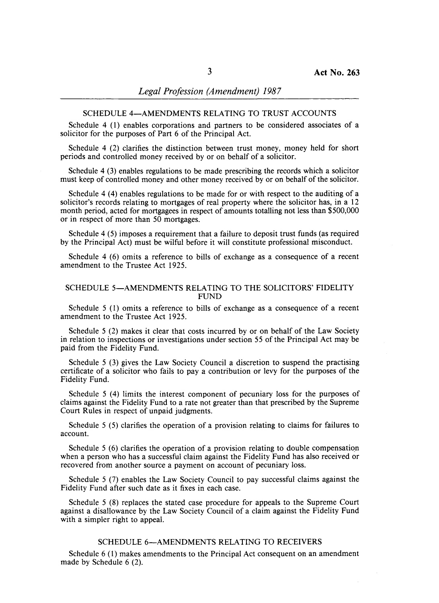## SCHEDULE 4-AMENDMENTS RELATING TO TRUST ACCOUNTS

Schedule 4 (1) enables corporations and partners to be considered associates of a solicitor for the purposes of Part 6 of the Principal Act.

Schedule 4 (2) clarifies the distinction between trust money, money held for short periods and controlled money received by or on behalf of a solicitor.

Schedule 4 (3) enables regulations to be made prescribing the records which a solicitor must keep of controlled money and other money received by or on behalf of the solicitor.

Schedule 4 (4) enables regulations to be made for or with respect to the auditing of a solicitor's records relating to mortgages of real property where the solicitor has, in a 12 month period, acted for mortgagees in respect of amounts totalling not less than \$500,000 or in respect of more than 50 mortgages.

Schedule 4 (5) imposes a requirement that a failure to deposit trust funds (as required by the Principal Act) must be wilful before it will constitute professional misconduct.

Schedule 4 (6) omits a reference to bills of exchange as a consequence of a recent amendment to the Trustee Act 1925.

## SCHEDULE 5-AMENDMENTS RELATING TO THE SOLICITORS' FIDELITY **FUND**

Schedule 5 (1) omits a reference to bills of exchange as a consequence of a recent amendment to the Trustee Act 1925.

Schedule 5 (2) makes it clear that costs incurred by or on behalf of the Law Society in relation to inspections or investigations under section 55 of the Principal Act may be paid from the Fidelity Fund.

Schedule 5 (3) gives the Law Society Council a discretion to suspend the practising certificate of a solicitor who fails to pay a contribution or levy for the purposes of the Fidelity Fund.

Schedule 5 (4) limits the interest component of pecuniary loss for the purposes of claims against the Fidelity Fund to a rate not greater than that prescribed by the Supreme Court Rules in respect of unpaid judgments.

Schedule 5 (5) clarifies the operation of a provision relating to claims for failures to account.

Schedule  $5(6)$  clarifies the operation of a provision relating to double compensation when a person who has a successful claim against the Fidelity Fund has also received or recovered from another source a payment on account of pecuniary loss.

Schedule 5 (7) enables the Law Society Council to pay successful claims against the Fidelity Fund after such date as it fixes in each case.

Schedule 5 (8) replaces the stated case procedure for appeals to the Supreme Court against a disallowance by the Law Society Council of a claim against the Fidelity Fund with a simpler right to appeal.

## SCHEDULE 6-AMENDMENTS RELATING TO RECEIVERS

Schedule 6 (1) makes amendments to the Principal Act consequent on an amendment made by Schedule 6 (2).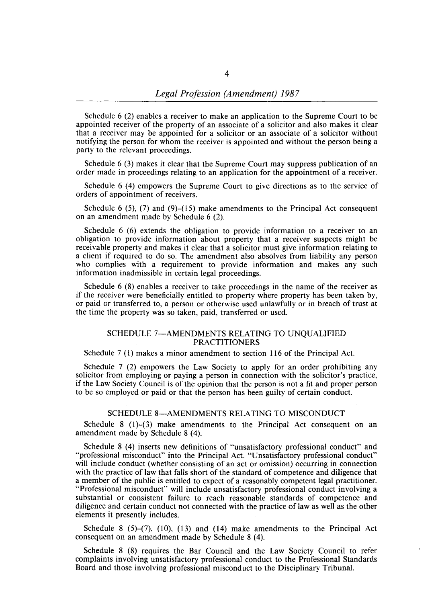Schedule 6 (2) enables a receiver to make an application to the Supreme Court to be appointed receiver of the property of an associate of a solicitor and also makes it clear that a receiver may be appointed for a solicitor or an associate of a solicitor without notifying the person for whom the receiver is appointed and without the person being a party to the relevant proceedings.

Schedule 6 (3) makes it clear that the Supreme Court may suppress publication of an order made in proceedings relating to an application for the appointment of a receiver.

Schedule 6 (4) empowers the Supreme Court to give directions as to the service of orders of appointment of receivers.

Schedule 6 (5), (7) and (9)–(15) make amendments to the Principal Act consequent on an amendment made by Schedule 6 (2).

Schedule 6 (6) extends the obligation to provide information to a receiver to an obligation to provide information about property that a receiver suspects might be receivable property and makes it clear that a solicitor must give information relating to a client if required to do so. The amendment also absolves from liability any person who complies with a requirement to provide information and makes any such information inadmissible in certain legal proceedings.

Schedule 6 (8) enables a receiver to take proceedings in the name of the receiver as if the receiver were beneficially entitled to property where property has been taken by, or paid or transferred to, a person or otherwise used unlawfully or in breach of trust at the time the property was so taken, paid, transferred or used.

## SCHEDULE 7-AMENDMENTS RELATING TO UNQUALIFIED PRACTITIONERS

Schedule 7 (1) makes a minor amendment to section 116 of the Principal Act.

Schedule 7 (2) empowers the Law Society to apply for an order prohibiting any solicitor from employing or paying a person in connection with the solicitor's practice, if the Law Society Council is of the opinion that the person is not a fit and proper person to be so employed or paid or that the person has been guilty of certain conduct.

#### SCHEDULE 8-AMENDMENTS RELATING TO MISCONDUCT

Schedule 8 (1)-(3) make amendments to the Principal Act consequent on an amendment made by Schedule 8 (4).

Schedule 8 (4) inserts new definitions of "unsatisfactory professional conduct" and "professional misconduct" into the Principal Act. "Unsatisfactory professional conduct" will include conduct (whether consisting of an act or omission) occurring in connection with the practice of law that falls short of the standard of competence and diligence that a member of the public is entitled to expect of a reasonably competent legal practitioner. "Professional misconduct" will include unsatisfactory professional conduct involving a substantial or consistent failure to reach reasonable standards of competence and diligence and certain conduct not connected with the practice of law as well as the other elements it presently includes.

Schedule  $8(5)-(7)$ ,  $(10)$ ,  $(13)$  and  $(14)$  make amendments to the Principal Act consequent on an amendment made by Schedule 8 (4).

Schedule 8 (8) requires the Bar Council and the Law Society Council to refer complaints involving unsatisfactory professional conduct to the Professional Standards Board and those involving professional misconduct to the Disciplinary Tribunal.